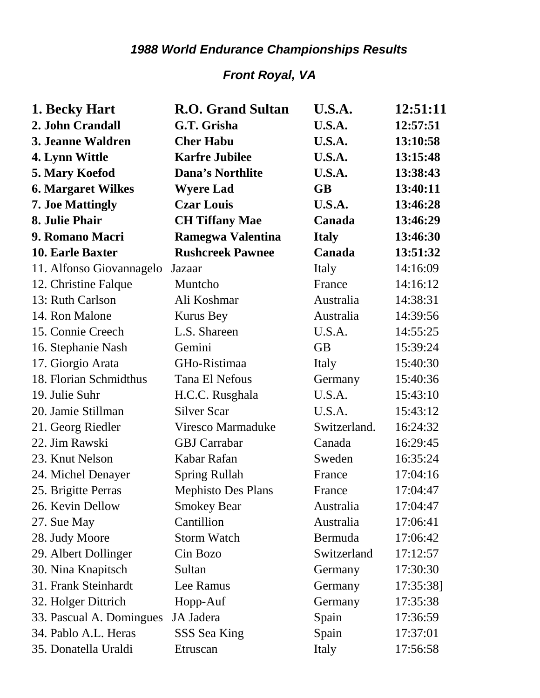## *1988 World Endurance Championships Results*

## *Front Royal, VA*

| 1. Becky Hart             | <b>R.O.</b> Grand Sultan  | U.S.A.        | 12:51:11  |
|---------------------------|---------------------------|---------------|-----------|
| 2. John Crandall          | G.T. Grisha               | U.S.A.        | 12:57:51  |
| 3. Jeanne Waldren         | <b>Cher Habu</b>          | <b>U.S.A.</b> | 13:10:58  |
| 4. Lynn Wittle            | <b>Karfre Jubilee</b>     | U.S.A.        | 13:15:48  |
| 5. Mary Koefod            | <b>Dana's Northlite</b>   | U.S.A.        | 13:38:43  |
| <b>6. Margaret Wilkes</b> | <b>Wyere Lad</b>          | <b>GB</b>     | 13:40:11  |
| <b>7. Joe Mattingly</b>   | <b>Czar Louis</b>         | U.S.A.        | 13:46:28  |
| 8. Julie Phair            | <b>CH Tiffany Mae</b>     | Canada        | 13:46:29  |
| 9. Romano Macri           | <b>Ramegwa Valentina</b>  | <b>Italy</b>  | 13:46:30  |
| <b>10. Earle Baxter</b>   | <b>Rushcreek Pawnee</b>   | Canada        | 13:51:32  |
| 11. Alfonso Giovannagelo  | Jazaar                    | Italy         | 14:16:09  |
| 12. Christine Falque      | Muntcho                   | France        | 14:16:12  |
| 13: Ruth Carlson          | Ali Koshmar               | Australia     | 14:38:31  |
| 14. Ron Malone            | <b>Kurus Bey</b>          | Australia     | 14:39:56  |
| 15. Connie Creech         | L.S. Shareen              | U.S.A.        | 14:55:25  |
| 16. Stephanie Nash        | Gemini                    | <b>GB</b>     | 15:39:24  |
| 17. Giorgio Arata         | GHo-Ristimaa              | Italy         | 15:40:30  |
| 18. Florian Schmidthus    | Tana El Nefous            | Germany       | 15:40:36  |
| 19. Julie Suhr            | H.C.C. Rusghala           | U.S.A.        | 15:43:10  |
| 20. Jamie Stillman        | <b>Silver Scar</b>        | U.S.A.        | 15:43:12  |
| 21. Georg Riedler         | Viresco Marmaduke         | Switzerland.  | 16:24:32  |
| 22. Jim Rawski            | <b>GBJ</b> Carrabar       | Canada        | 16:29:45  |
| 23. Knut Nelson           | Kabar Rafan               | Sweden        | 16:35:24  |
| 24. Michel Denayer        | <b>Spring Rullah</b>      | France        | 17:04:16  |
| 25. Brigitte Perras       | <b>Mephisto Des Plans</b> | France        | 17:04:47  |
| 26. Kevin Dellow          | <b>Smokey Bear</b>        | Australia     | 17:04:47  |
| 27. Sue May               | Cantillion                | Australia     | 17:06:41  |
| 28. Judy Moore            | <b>Storm Watch</b>        | Bermuda       | 17:06:42  |
| 29. Albert Dollinger      | Cin Bozo                  | Switzerland   | 17:12:57  |
| 30. Nina Knapitsch        | Sultan                    | Germany       | 17:30:30  |
| 31. Frank Steinhardt      | Lee Ramus                 | Germany       | 17:35:38] |
| 32. Holger Dittrich       | Hopp-Auf                  | Germany       | 17:35:38  |
| 33. Pascual A. Domingues  | JA Jadera                 | Spain         | 17:36:59  |
| 34. Pablo A.L. Heras      | SSS Sea King              | Spain         | 17:37:01  |
| 35. Donatella Uraldi      | Etruscan                  | Italy         | 17:56:58  |